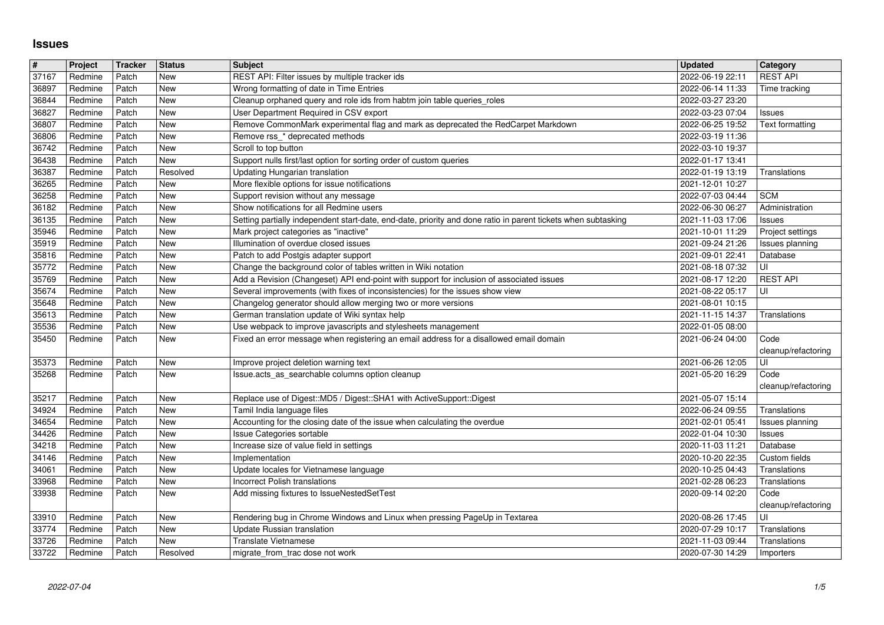## **Issues**

| $\vert \#$<br>37167 | Project            | <b>Tracker</b> | <b>Status</b><br><b>New</b> | <b>Subject</b>                                                                                                                                             | <b>Updated</b>                       | Category<br><b>REST API</b>         |
|---------------------|--------------------|----------------|-----------------------------|------------------------------------------------------------------------------------------------------------------------------------------------------------|--------------------------------------|-------------------------------------|
| 36897               | Redmine<br>Redmine | Patch<br>Patch | <b>New</b>                  | REST API: Filter issues by multiple tracker ids<br>Wrong formatting of date in Time Entries                                                                | 2022-06-19 22:11<br>2022-06-14 11:33 | Time tracking                       |
| 36844               | Redmine            | Patch          | <b>New</b>                  | Cleanup orphaned query and role ids from habtm join table queries_roles                                                                                    | 2022-03-27 23:20                     |                                     |
| 36827<br>36807      | Redmine<br>Redmine | Patch<br>Patch | <b>New</b><br><b>New</b>    | User Department Required in CSV export<br>Remove CommonMark experimental flag and mark as deprecated the RedCarpet Markdown                                | 2022-03-23 07:04<br>2022-06-25 19:52 | Issues<br>Text formatting           |
| 36806               | Redmine            | Patch          | New                         | Remove rss_* deprecated methods                                                                                                                            | 2022-03-19 11:36                     |                                     |
| 36742<br>36438      | Redmine<br>Redmine | Patch<br>Patch | New<br><b>New</b>           | Scroll to top button<br>Support nulls first/last option for sorting order of custom queries                                                                | 2022-03-10 19:37<br>2022-01-17 13:41 |                                     |
| 36387               | Redmine            | Patch          | Resolved                    | Updating Hungarian translation                                                                                                                             | 2022-01-19 13:19                     | Translations                        |
| 36265<br>36258      | Redmine<br>Redmine | Patch<br>Patch | New<br><b>New</b>           | More flexible options for issue notifications<br>Support revision without any message                                                                      | 2021-12-01 10:27<br>2022-07-03 04:44 | <b>SCM</b>                          |
| 36182               | Redmine            | Patch          | New                         | Show notifications for all Redmine users                                                                                                                   | 2022-06-30 06:27                     | Administration                      |
| 36135               | Redmine            | Patch          | <b>New</b>                  | Setting partially independent start-date, end-date, priority and done ratio in parent tickets when subtasking                                              | 2021-11-03 17:06                     | <b>Issues</b>                       |
| 35946<br>35919      | Redmine<br>Redmine | Patch<br>Patch | New<br>New                  | Mark project categories as "inactive"<br>Illumination of overdue closed issues                                                                             | 2021-10-01 11:29<br>2021-09-24 21:26 | Project settings<br>Issues planning |
| 35816               | Redmine            | Patch          | New                         | Patch to add Postgis adapter support                                                                                                                       | 2021-09-01 22:41                     | Database                            |
| 35772<br>35769      | Redmine<br>Redmine | Patch<br>Patch | <b>New</b><br>New           | Change the background color of tables written in Wiki notation<br>Add a Revision (Changeset) API end-point with support for inclusion of associated issues | 2021-08-18 07:32<br>2021-08-17 12:20 | UI<br><b>REST API</b>               |
| 35674               | Redmine            | Patch          | <b>New</b>                  | Several improvements (with fixes of inconsistencies) for the issues show view                                                                              | 2021-08-22 05:17                     | UI                                  |
| 35648<br>35613      | Redmine<br>Redmine | Patch<br>Patch | <b>New</b><br><b>New</b>    | Changelog generator should allow merging two or more versions<br>German translation update of Wiki syntax help                                             | 2021-08-01 10:15<br>2021-11-15 14:37 | Translations                        |
| 35536               | Redmine            | Patch          | New                         | Use webpack to improve javascripts and stylesheets management                                                                                              | 2022-01-05 08:00                     |                                     |
| 35450               | Redmine            | Patch          | New                         | Fixed an error message when registering an email address for a disallowed email domain                                                                     | 2021-06-24 04:00                     | Code<br>cleanup/refactoring         |
| 35373               | Redmine            | Patch          | New                         | Improve project deletion warning text                                                                                                                      | 2021-06-26 12:05                     | UI                                  |
| 35268               | Redmine            | Patch          | New                         | Issue.acts_as_searchable columns option cleanup                                                                                                            | 2021-05-20 16:29                     | Code<br>cleanup/refactoring         |
| 35217               | Redmine            | Patch          | <b>New</b>                  | Replace use of Digest:: MD5 / Digest:: SHA1 with ActiveSupport:: Digest                                                                                    | 2021-05-07 15:14                     |                                     |
| 34924               | Redmine            | Patch          | <b>New</b>                  | Tamil India language files                                                                                                                                 | 2022-06-24 09:55                     | Translations                        |
| 34654<br>34426      | Redmine<br>Redmine | Patch<br>Patch | New<br>New                  | Accounting for the closing date of the issue when calculating the overdue<br><b>Issue Categories sortable</b>                                              | 2021-02-01 05:41<br>2022-01-04 10:30 | Issues planning<br><b>Issues</b>    |
| 34218               | Redmine            | Patch          | <b>New</b>                  | Increase size of value field in settings                                                                                                                   | 2020-11-03 11:21                     | Database                            |
| 34146<br>34061      | Redmine<br>Redmine | Patch<br>Patch | <b>New</b><br>New           | Implementation<br>Update locales for Vietnamese language                                                                                                   | 2020-10-20 22:35<br>2020-10-25 04:43 | Custom fields<br>Translations       |
| 33968               | Redmine            | Patch          | New                         | <b>Incorrect Polish translations</b>                                                                                                                       | 2021-02-28 06:23                     | Translations                        |
| 33938               | Redmine            | Patch          | New                         | Add missing fixtures to IssueNestedSetTest                                                                                                                 | 2020-09-14 02:20                     | Code<br>cleanup/refactoring         |
| 33910               | Redmine            | Patch          | New                         | Rendering bug in Chrome Windows and Linux when pressing PageUp in Textarea                                                                                 | 2020-08-26 17:45                     | ΙUΙ                                 |
| 33774<br>33726      | Redmine<br>Redmine | Patch<br>Patch | New<br>New                  | Update Russian translation<br><b>Translate Vietnamese</b>                                                                                                  | 2020-07-29 10:17<br>2021-11-03 09:44 | Translations<br>Translations        |
| 33722               | Redmine            | Patch          | Resolved                    | migrate from trac dose not work                                                                                                                            | 2020-07-30 14:29                     | Importers                           |
|                     |                    |                |                             |                                                                                                                                                            |                                      |                                     |
|                     |                    |                |                             |                                                                                                                                                            |                                      |                                     |
|                     |                    |                |                             |                                                                                                                                                            |                                      |                                     |
|                     |                    |                |                             |                                                                                                                                                            |                                      |                                     |
|                     |                    |                |                             |                                                                                                                                                            |                                      |                                     |
|                     |                    |                |                             |                                                                                                                                                            |                                      |                                     |
|                     |                    |                |                             |                                                                                                                                                            |                                      |                                     |
|                     |                    |                |                             |                                                                                                                                                            |                                      |                                     |
|                     |                    |                |                             |                                                                                                                                                            |                                      |                                     |
|                     |                    |                |                             |                                                                                                                                                            |                                      |                                     |
|                     |                    |                |                             |                                                                                                                                                            |                                      |                                     |
|                     |                    |                |                             |                                                                                                                                                            |                                      |                                     |
|                     |                    |                |                             |                                                                                                                                                            |                                      |                                     |
|                     |                    |                |                             |                                                                                                                                                            |                                      |                                     |
|                     |                    |                |                             |                                                                                                                                                            |                                      |                                     |
|                     |                    |                |                             |                                                                                                                                                            |                                      |                                     |
|                     |                    |                |                             |                                                                                                                                                            |                                      |                                     |
|                     |                    |                |                             |                                                                                                                                                            |                                      |                                     |
|                     |                    |                |                             |                                                                                                                                                            |                                      |                                     |
|                     |                    |                |                             |                                                                                                                                                            |                                      |                                     |
|                     |                    |                |                             |                                                                                                                                                            |                                      |                                     |
|                     |                    |                |                             |                                                                                                                                                            |                                      |                                     |
|                     |                    |                |                             |                                                                                                                                                            |                                      |                                     |
|                     |                    |                |                             |                                                                                                                                                            |                                      |                                     |
|                     |                    |                |                             |                                                                                                                                                            |                                      |                                     |
|                     |                    |                |                             |                                                                                                                                                            |                                      |                                     |
|                     |                    |                |                             |                                                                                                                                                            |                                      |                                     |
|                     |                    |                |                             |                                                                                                                                                            |                                      |                                     |
|                     |                    |                |                             |                                                                                                                                                            |                                      |                                     |
|                     |                    |                |                             |                                                                                                                                                            |                                      |                                     |
|                     |                    |                |                             |                                                                                                                                                            |                                      |                                     |
|                     |                    |                |                             |                                                                                                                                                            |                                      |                                     |
|                     |                    |                |                             |                                                                                                                                                            |                                      |                                     |
|                     |                    |                |                             |                                                                                                                                                            |                                      |                                     |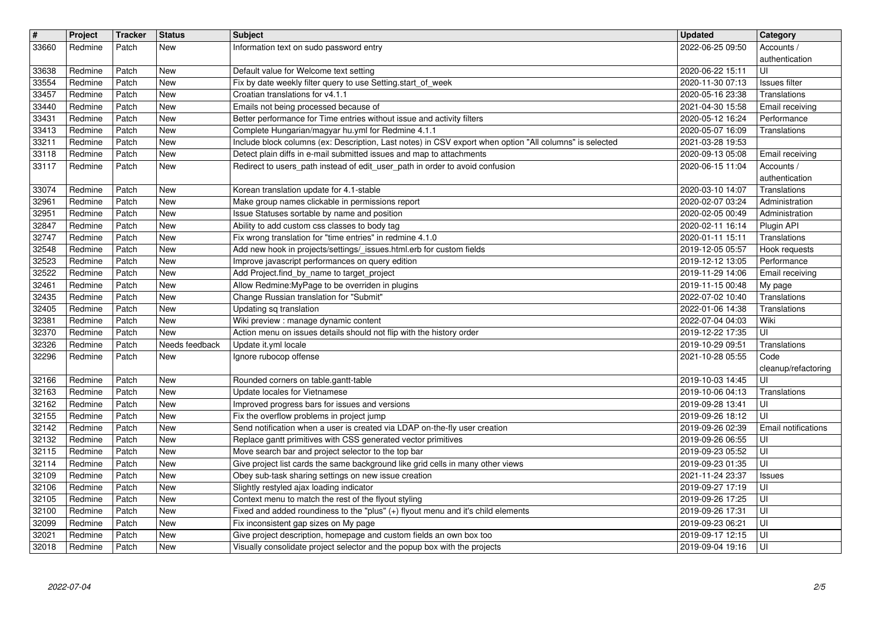| $\sqrt{t}$     | Project            | Tracker        | <b>Status</b>            | <b>Subject</b>                                                                                                                                       | <b>Updated</b>                       | Category                        |
|----------------|--------------------|----------------|--------------------------|------------------------------------------------------------------------------------------------------------------------------------------------------|--------------------------------------|---------------------------------|
| 33660          | Redmine            | Patch          | New                      | Information text on sudo password entry                                                                                                              | 2022-06-25 09:50                     | Accounts /                      |
| 33638          | Redmine            | Patch          | <b>New</b>               | Default value for Welcome text setting                                                                                                               | 2020-06-22 15:11                     | authentication<br>ΙUΙ           |
| 33554          | Redmine            | Patch          | <b>New</b>               | Fix by date weekly filter query to use Setting.start_of_week                                                                                         | 2020-11-30 07:13                     | Issues filter                   |
| 33457          | Redmine            | Patch          | <b>New</b>               | Croatian translations for v4.1.1                                                                                                                     | 2020-05-16 23:38                     | Translations                    |
| 33440<br>33431 | Redmine<br>Redmine | Patch<br>Patch | <b>New</b><br>New        | Emails not being processed because of<br>Better performance for Time entries without issue and activity filters                                      | 2021-04-30 15:58<br>2020-05-12 16:24 | Email receiving<br>Performance  |
| 33413          | Redmine            | Patch          | <b>New</b>               | Complete Hungarian/magyar hu.yml for Redmine 4.1.1                                                                                                   | 2020-05-07 16:09                     | Translations                    |
| 33211          | Redmine            | Patch          | <b>New</b>               | Include block columns (ex: Description, Last notes) in CSV export when option "All columns" is selected                                              | 2021-03-28 19:53                     |                                 |
| 33118<br>33117 | Redmine<br>Redmine | Patch<br>Patch | <b>New</b><br><b>New</b> | Detect plain diffs in e-mail submitted issues and map to attachments<br>Redirect to users_path instead of edit_user_path in order to avoid confusion | 2020-09-13 05:08<br>2020-06-15 11:04 | Email receiving<br>Accounts /   |
|                |                    |                |                          |                                                                                                                                                      |                                      | authentication                  |
| 33074          | Redmine            | Patch          | New                      | Korean translation update for 4.1-stable                                                                                                             | 2020-03-10 14:07                     | Translations                    |
| 32961          | Redmine            | Patch          | <b>New</b>               | Make group names clickable in permissions report                                                                                                     | 2020-02-07 03:24                     | Administration                  |
| 32951<br>32847 | Redmine<br>Redmine | Patch<br>Patch | <b>New</b><br>New        | Issue Statuses sortable by name and position<br>Ability to add custom css classes to body tag                                                        | 2020-02-05 00:49<br>2020-02-11 16:14 | Administration<br>Plugin API    |
| 32747          | Redmine            | Patch          | <b>New</b>               | Fix wrong translation for "time entries" in redmine 4.1.0                                                                                            | 2020-01-11 15:11                     | Translations                    |
| 32548          | Redmine            | Patch          | <b>New</b>               | Add new hook in projects/settings/_issues.html.erb for custom fields                                                                                 | 2019-12-05 05:57                     | Hook requests                   |
| 32523<br>32522 | Redmine<br>Redmine | Patch<br>Patch | <b>New</b><br><b>New</b> | Improve javascript performances on query edition<br>Add Project.find_by_name to target_project                                                       | 2019-12-12 13:05<br>2019-11-29 14:06 | Performance<br>Email receiving  |
| 32461          | Redmine            | Patch          | <b>New</b>               | Allow Redmine: My Page to be overriden in plugins                                                                                                    | 2019-11-15 00:48                     | My page                         |
| 32435          | Redmine            | Patch          | <b>New</b>               | Change Russian translation for "Submit"                                                                                                              | 2022-07-02 10:40                     | Translations                    |
| 32405<br>32381 | Redmine<br>Redmine | Patch<br>Patch | <b>New</b><br><b>New</b> | Updating sq translation<br>Wiki preview : manage dynamic content                                                                                     | 2022-01-06 14:38<br>2022-07-04 04:03 | Translations<br>Wiki            |
| 32370          | Redmine            | Patch          | New                      | Action menu on issues details should not flip with the history order                                                                                 | 2019-12-22 17:35                     | UI                              |
| 32326          | Redmine            | Patch          | Needs feedback           | Update it.yml locale                                                                                                                                 | 2019-10-29 09:51                     | Translations                    |
| 32296          | Redmine            | Patch          | New                      | Ignore rubocop offense                                                                                                                               | 2021-10-28 05:55                     | Code<br>cleanup/refactoring     |
| 32166          | Redmine            | Patch          | New                      | Rounded corners on table.gantt-table                                                                                                                 | 2019-10-03 14:45                     | ΙUΙ                             |
| 32163          | Redmine            | Patch          | <b>New</b>               | Update locales for Vietnamese                                                                                                                        | 2019-10-06 04:13                     | Translations                    |
| 32162<br>32155 | Redmine<br>Redmine | Patch<br>Patch | <b>New</b><br>New        | Improved progress bars for issues and versions<br>Fix the overflow problems in project jump                                                          | 2019-09-28 13:41<br>2019-09-26 18:12 | l UI<br>UI                      |
| 32142          | Redmine            | Patch          | New                      | Send notification when a user is created via LDAP on-the-fly user creation                                                                           | 2019-09-26 02:39                     | <b>Email notifications</b>      |
| 32132          | Redmine            | Patch          | New                      | Replace gantt primitives with CSS generated vector primitives                                                                                        | 2019-09-26 06:55                     | ΙUΙ                             |
| 32115          | Redmine<br>Redmine | Patch          | <b>New</b><br><b>New</b> | Move search bar and project selector to the top bar<br>Give project list cards the same background like grid cells in many other views               | 2019-09-23 05:52                     | ΙUΙ                             |
| 32114<br>32109 | Redmine            | Patch<br>Patch | <b>New</b>               | Obey sub-task sharing settings on new issue creation                                                                                                 | 2019-09-23 01:35<br>2021-11-24 23:37 | UI<br><b>Issues</b>             |
| 32106          | Redmine            | Patch          | <b>New</b>               | Slightly restyled ajax loading indicator                                                                                                             | 2019-09-27 17:19                     | ΙUΙ                             |
| 32105<br>32100 | Redmine<br>Redmine | Patch<br>Patch | New<br>New               | Context menu to match the rest of the flyout styling<br>Fixed and added roundiness to the "plus" (+) flyout menu and it's child elements             | 2019-09-26 17:25<br>2019-09-26 17:31 | $\overline{\mathsf{U}}$<br>l UI |
| 32099          | Redmine            | Patch          | New                      | Fix inconsistent gap sizes on My page                                                                                                                | 2019-09-23 06:21                     | l Ul                            |
| 32021<br>32018 | Redmine<br>Redmine | Patch<br>Patch | New<br>New               | Give project description, homepage and custom fields an own box too<br>Visually consolidate project selector and the popup box with the projects     | 2019-09-17 12:15<br>2019-09-04 19:16 | l UI<br>l UI                    |
|                |                    |                |                          |                                                                                                                                                      |                                      |                                 |
|                |                    |                |                          |                                                                                                                                                      |                                      |                                 |
|                |                    |                |                          |                                                                                                                                                      |                                      |                                 |
|                |                    |                |                          |                                                                                                                                                      |                                      |                                 |
|                |                    |                |                          |                                                                                                                                                      |                                      |                                 |
|                |                    |                |                          |                                                                                                                                                      |                                      |                                 |
|                |                    |                |                          |                                                                                                                                                      |                                      |                                 |
|                |                    |                |                          |                                                                                                                                                      |                                      |                                 |
|                |                    |                |                          |                                                                                                                                                      |                                      |                                 |
|                |                    |                |                          |                                                                                                                                                      |                                      |                                 |
|                |                    |                |                          |                                                                                                                                                      |                                      |                                 |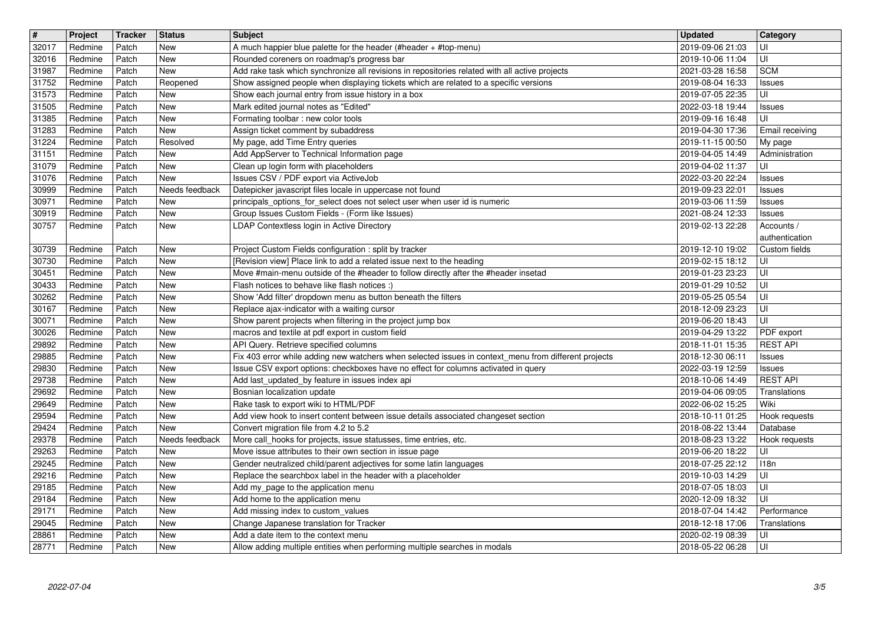| $\overline{\boldsymbol{H}}$ | Project            | Tracker        | <b>Status</b>  | <b>Subject</b>                                                                                                                                                                             | <b>Updated</b>                       | Category                         |
|-----------------------------|--------------------|----------------|----------------|--------------------------------------------------------------------------------------------------------------------------------------------------------------------------------------------|--------------------------------------|----------------------------------|
| 32017<br>32016              | Redmine<br>Redmine | Patch<br>Patch | New<br>New     | A much happier blue palette for the header (#header + #top-menu)<br>Rounded coreners on roadmap's progress bar                                                                             | 2019-09-06 21:03<br>2019-10-06 11:04 | UI<br>UI                         |
| 31987                       | Redmine            | Patch          | New            | Add rake task which synchronize all revisions in repositories related with all active projects                                                                                             | 2021-03-28 16:58                     | <b>SCM</b>                       |
| 31752                       | Redmine            | Patch          | Reopened       | Show assigned people when displaying tickets which are related to a specific versions                                                                                                      | 2019-08-04 16:33                     | <b>Issues</b>                    |
| 31573<br>31505              | Redmine<br>Redmine | Patch<br>Patch | New<br>New     | Show each journal entry from issue history in a box<br>Mark edited journal notes as "Edited"                                                                                               | 2019-07-05 22:35<br>2022-03-18 19:44 | UI                               |
| 31385                       | Redmine            | Patch          | New            | Formating toolbar : new color tools                                                                                                                                                        | 2019-09-16 16:48                     | <b>Issues</b><br>UI              |
| 31283                       | Redmine            | Patch          | New            | Assign ticket comment by subaddress                                                                                                                                                        | 2019-04-30 17:36                     | Email receiving                  |
| 31224                       | Redmine            | Patch          | Resolved       | My page, add Time Entry queries                                                                                                                                                            | 2019-11-15 00:50                     | My page                          |
| 31151<br>31079              | Redmine<br>Redmine | Patch<br>Patch | New<br>New     | Add AppServer to Technical Information page<br>Clean up login form with placeholders                                                                                                       | 2019-04-05 14:49<br>2019-04-02 11:37 | Administration<br>UI             |
| 31076                       | Redmine            | Patch          | New            | Issues CSV / PDF export via ActiveJob                                                                                                                                                      | 2022-03-20 22:24                     | <b>Issues</b>                    |
| 30999                       | Redmine            | Patch          | Needs feedback | Datepicker javascript files locale in uppercase not found                                                                                                                                  | 2019-09-23 22:01                     | <b>Issues</b>                    |
| 30971<br>30919              | Redmine<br>Redmine | Patch<br>Patch | New<br>New     | principals_options_for_select does not select user when user id is numeric<br>Group Issues Custom Fields - (Form like Issues)                                                              | 2019-03-06 11:59<br>2021-08-24 12:33 | <b>Issues</b><br><b>Issues</b>   |
| 30757                       | Redmine            | Patch          | New            | LDAP Contextless login in Active Directory                                                                                                                                                 | 2019-02-13 22:28                     | Accounts /                       |
|                             |                    |                |                |                                                                                                                                                                                            |                                      | authentication                   |
| 30739                       | Redmine            | Patch          | New            | Project Custom Fields configuration : split by tracker                                                                                                                                     | 2019-12-10 19:02                     | Custom fields                    |
| 30730<br>30451              | Redmine<br>Redmine | Patch<br>Patch | New<br>New     | [Revision view] Place link to add a related issue next to the heading<br>Move #main-menu outside of the #header to follow directly after the #header insetad                               | 2019-02-15 18:12<br>2019-01-23 23:23 | UI<br>UI                         |
| 30433                       | Redmine            | Patch          | New            | Flash notices to behave like flash notices :)                                                                                                                                              | 2019-01-29 10:52                     | UI                               |
| 30262                       | Redmine            | Patch          | New            | Show 'Add filter' dropdown menu as button beneath the filters                                                                                                                              | 2019-05-25 05:54                     | UI                               |
| 30167<br>30071              | Redmine<br>Redmine | Patch<br>Patch | New<br>New     | Replace ajax-indicator with a waiting cursor<br>Show parent projects when filtering in the project jump box                                                                                | 2018-12-09 23:23<br>2019-06-20 18:43 | UI<br>UI                         |
| 30026                       | Redmine            | Patch          | New            | macros and textile at pdf export in custom field                                                                                                                                           | 2019-04-29 13:22                     | PDF export                       |
| 29892                       | Redmine            | Patch          | New            | API Query. Retrieve specified columns                                                                                                                                                      | 2018-11-01 15:35                     | <b>REST API</b>                  |
| 29885<br>29830              | Redmine<br>Redmine | Patch<br>Patch | New<br>New     | Fix 403 error while adding new watchers when selected issues in context_menu from different projects<br>Issue CSV export options: checkboxes have no effect for columns activated in query | 2018-12-30 06:11<br>2022-03-19 12:59 | <b>Issues</b>                    |
| 29738                       | Redmine            | Patch          | New            | Add last_updated_by feature in issues index api                                                                                                                                            | 2018-10-06 14:49                     | <b>Issues</b><br><b>REST API</b> |
| 29692                       | Redmine            | Patch          | New            | Bosnian localization update                                                                                                                                                                | 2019-04-06 09:05                     | Translations                     |
| 29649                       | Redmine            | Patch          | New            | Rake task to export wiki to HTML/PDF                                                                                                                                                       | 2022-06-02 15:25                     | Wiki                             |
| 29594<br>29424              | Redmine<br>Redmine | Patch<br>Patch | New<br>New     | Add view hook to insert content between issue details associated changeset section<br>Convert migration file from 4.2 to 5.2                                                               | 2018-10-11 01:25<br>2018-08-22 13:44 | Hook requests<br>Database        |
| 29378                       | Redmine            | Patch          | Needs feedback | More call_hooks for projects, issue statusses, time entries, etc.                                                                                                                          | 2018-08-23 13:22                     | Hook requests                    |
| 29263                       | Redmine            | Patch          | New            | Move issue attributes to their own section in issue page                                                                                                                                   | 2019-06-20 18:22                     | UI                               |
| 29245                       | Redmine            | Patch          | New            | Gender neutralized child/parent adjectives for some latin languages                                                                                                                        | 2018-07-25 22:12                     | 118n<br>UI                       |
| 29216<br>29185              | Redmine<br>Redmine | Patch<br>Patch | New<br>New     | Replace the searchbox label in the header with a placeholder<br>Add my_page to the application menu                                                                                        | 2019-10-03 14:29<br>2018-07-05 18:03 | UI                               |
| 29184                       | Redmine            | Patch          | New            | Add home to the application menu                                                                                                                                                           | 2020-12-09 18:32                     | $\overline{U}$                   |
| 29171                       | Redmine            | Patch          | New            | Add missing index to custom_values                                                                                                                                                         | 2018-07-04 14:42                     | Performance                      |
| 29045<br>28861              | Redmine<br>Redmine | Patch<br>Patch | New<br>New     | Change Japanese translation for Tracker<br>Add a date item to the context menu                                                                                                             | 2018-12-18 17:06<br>2020-02-19 08:39 | Translations<br>UI               |
| 28771                       | Redmine            | Patch          | New            | Allow adding multiple entities when performing multiple searches in modals                                                                                                                 | 2018-05-22 06:28                     | l UI                             |
|                             |                    |                |                |                                                                                                                                                                                            |                                      |                                  |
|                             |                    |                |                |                                                                                                                                                                                            |                                      |                                  |
|                             |                    |                |                |                                                                                                                                                                                            |                                      |                                  |
|                             |                    |                |                |                                                                                                                                                                                            |                                      |                                  |
|                             |                    |                |                |                                                                                                                                                                                            |                                      |                                  |
|                             |                    |                |                |                                                                                                                                                                                            |                                      |                                  |
|                             |                    |                |                |                                                                                                                                                                                            |                                      |                                  |
|                             |                    |                |                |                                                                                                                                                                                            |                                      |                                  |
|                             |                    |                |                |                                                                                                                                                                                            |                                      |                                  |
|                             |                    |                |                |                                                                                                                                                                                            |                                      |                                  |
|                             |                    |                |                |                                                                                                                                                                                            |                                      |                                  |
|                             |                    |                |                |                                                                                                                                                                                            |                                      |                                  |
|                             |                    |                |                |                                                                                                                                                                                            |                                      |                                  |
|                             |                    |                |                |                                                                                                                                                                                            |                                      |                                  |
|                             |                    |                |                |                                                                                                                                                                                            |                                      |                                  |
|                             |                    |                |                |                                                                                                                                                                                            |                                      |                                  |
|                             |                    |                |                |                                                                                                                                                                                            |                                      |                                  |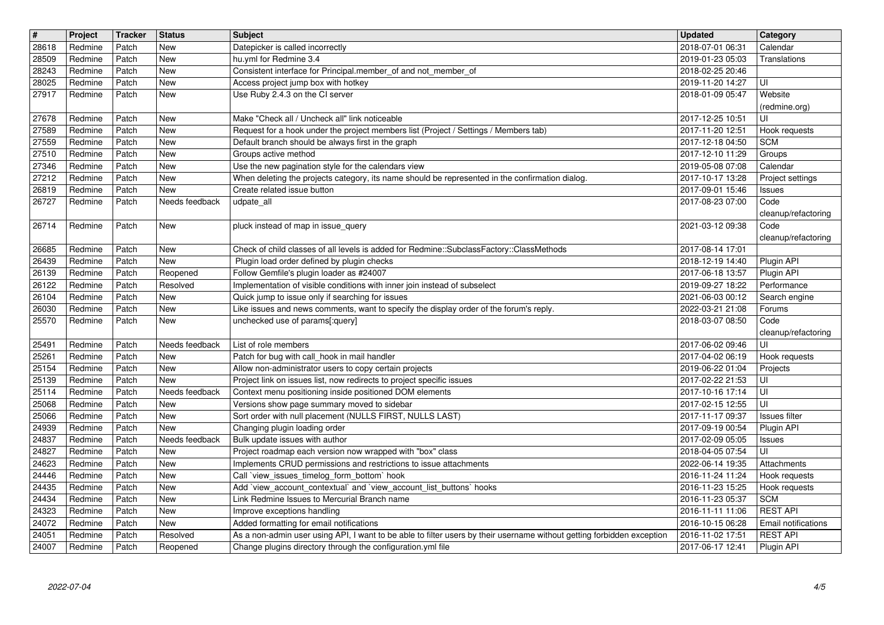| $\sqrt{t}$     | Project            | Tracker        | <b>Status</b>            | <b>Subject</b>                                                                                                                                                                        | <b>Updated</b>                       | Category                                      |
|----------------|--------------------|----------------|--------------------------|---------------------------------------------------------------------------------------------------------------------------------------------------------------------------------------|--------------------------------------|-----------------------------------------------|
| 28618<br>28509 | Redmine<br>Redmine | Patch<br>Patch | New<br><b>New</b>        | Datepicker is called incorrectly<br>hu.yml for Redmine 3.4                                                                                                                            | 2018-07-01 06:31<br>2019-01-23 05:03 | Calendar<br>Translations                      |
| 28243          | Redmine            | Patch          | <b>New</b>               | Consistent interface for Principal.member_of and not_member_of                                                                                                                        | 2018-02-25 20:46                     |                                               |
| 28025<br>27917 | Redmine<br>Redmine | Patch<br>Patch | <b>New</b><br>New        | Access project jump box with hotkey<br>Use Ruby 2.4.3 on the CI server                                                                                                                | 2019-11-20 14:27<br>2018-01-09 05:47 | UI<br>Website                                 |
|                |                    |                |                          |                                                                                                                                                                                       |                                      | (redmine.org)                                 |
| 27678<br>27589 | Redmine<br>Redmine | Patch<br>Patch | <b>New</b><br>New        | Make "Check all / Uncheck all" link noticeable<br>Request for a hook under the project members list (Project / Settings / Members tab)                                                | 2017-12-25 10:51<br>2017-11-20 12:51 | UI<br>Hook requests                           |
| 27559          | Redmine            | Patch          | New                      | Default branch should be always first in the graph                                                                                                                                    | 2017-12-18 04:50                     | <b>SCM</b>                                    |
| 27510<br>27346 | Redmine<br>Redmine | Patch<br>Patch | <b>New</b><br><b>New</b> | Groups active method<br>Use the new pagination style for the calendars view                                                                                                           | 2017-12-10 11:29<br>2019-05-08 07:08 | Groups<br>Calendar                            |
| 27212          | Redmine            | Patch          | <b>New</b>               | When deleting the projects category, its name should be represented in the confirmation dialog.                                                                                       | 2017-10-17 13:28                     | Project settings                              |
| 26819<br>26727 | Redmine            | Patch          | New<br>Needs feedback    | Create related issue button                                                                                                                                                           | 2017-09-01 15:46                     | <b>Issues</b>                                 |
|                | Redmine            | Patch          |                          | udpate_all                                                                                                                                                                            | 2017-08-23 07:00                     | Code<br>cleanup/refactoring                   |
| 26714          | Redmine            | Patch          | New                      | pluck instead of map in issue_query                                                                                                                                                   | 2021-03-12 09:38                     | Code                                          |
| 26685          | Redmine            | Patch          | New                      | Check of child classes of all levels is added for Redmine::SubclassFactory::ClassMethods                                                                                              | 2017-08-14 17:01                     | cleanup/refactoring                           |
| 26439          | Redmine            | Patch          | New                      | Plugin load order defined by plugin checks                                                                                                                                            | 2018-12-19 14:40                     | Plugin API                                    |
| 26139<br>26122 | Redmine<br>Redmine | Patch<br>Patch | Reopened<br>Resolved     | Follow Gemfile's plugin loader as #24007<br>Implementation of visible conditions with inner join instead of subselect                                                                 | 2017-06-18 13:57<br>2019-09-27 18:22 | Plugin API<br>Performance                     |
| 26104          | Redmine            | Patch          | <b>New</b>               | Quick jump to issue only if searching for issues                                                                                                                                      | 2021-06-03 00:12                     | Search engine                                 |
| 26030<br>25570 | Redmine<br>Redmine | Patch<br>Patch | <b>New</b><br>New        | Like issues and news comments, want to specify the display order of the forum's reply.<br>unchecked use of params[:query]                                                             | 2022-03-21 21:08<br>2018-03-07 08:50 | Forums<br>Code                                |
|                |                    |                |                          |                                                                                                                                                                                       |                                      | cleanup/refactoring                           |
| 25491          | Redmine<br>Redmine | Patch<br>Patch | Needs feedback<br>New    | List of role members<br>Patch for bug with call_hook in mail handler                                                                                                                  | 2017-06-02 09:46<br>2017-04-02 06:19 | UI                                            |
| 25261<br>25154 | Redmine            | Patch          | <b>New</b>               | Allow non-administrator users to copy certain projects                                                                                                                                | 2019-06-22 01:04                     | Hook requests<br>Projects                     |
| 25139          | Redmine            | Patch          | <b>New</b>               | Project link on issues list, now redirects to project specific issues                                                                                                                 | 2017-02-22 21:53                     | UI                                            |
| 25114<br>25068 | Redmine<br>Redmine | Patch<br>Patch | Needs feedback<br>New    | Context menu positioning inside positioned DOM elements<br>Versions show page summary moved to sidebar                                                                                | 2017-10-16 17:14<br>2017-02-15 12:55 | ΙUΙ<br>UI                                     |
| 25066          | Redmine            | Patch          | <b>New</b>               | Sort order with null placement (NULLS FIRST, NULLS LAST)                                                                                                                              | 2017-11-17 09:37                     | Issues filter                                 |
| 24939<br>24837 | Redmine<br>Redmine | Patch<br>Patch | New<br>Needs feedback    | Changing plugin loading order<br>Bulk update issues with author                                                                                                                       | 2017-09-19 00:54<br>2017-02-09 05:05 | Plugin API<br><b>Issues</b>                   |
| 24827          | Redmine            | Patch          | New                      | Project roadmap each version now wrapped with "box" class                                                                                                                             | 2018-04-05 07:54                     | UI                                            |
| 24623<br>24446 | Redmine<br>Redmine | Patch<br>Patch | <b>New</b><br>New        | Implements CRUD permissions and restrictions to issue attachments<br>Call `view_issues_timelog_form_bottom` hook                                                                      | 2022-06-14 19:35<br>2016-11-24 11:24 | Attachments<br>Hook requests                  |
| 24435          | Redmine            | Patch          | <b>New</b>               | Add 'view_account_contextual' and 'view_account_list_buttons' hooks                                                                                                                   | 2016-11-23 15:25                     | Hook requests                                 |
| 24434          | Redmine            | Patch          | <b>New</b>               | Link Redmine Issues to Mercurial Branch name                                                                                                                                          | 2016-11-23 05:37                     | <sub>SCM</sub>                                |
| 24323<br>24072 | Redmine<br>Redmine | Patch<br>Patch | New<br>New               | Improve exceptions handling<br>Added formatting for email notifications                                                                                                               | 2016-11-11 11:06<br>2016-10-15 06:28 | <b>REST API</b><br><b>Email notifications</b> |
| 24051<br>24007 | Redmine<br>Redmine | Patch<br>Patch | Resolved<br>Reopened     | As a non-admin user using API, I want to be able to filter users by their username without getting forbidden exception<br>Change plugins directory through the configuration.yml file | 2016-11-02 17:51<br>2017-06-17 12:41 | <b>REST API</b><br>Plugin API                 |
|                |                    |                |                          |                                                                                                                                                                                       |                                      |                                               |
|                |                    |                |                          |                                                                                                                                                                                       |                                      |                                               |
|                |                    |                |                          |                                                                                                                                                                                       |                                      |                                               |
|                |                    |                |                          |                                                                                                                                                                                       |                                      |                                               |
|                |                    |                |                          |                                                                                                                                                                                       |                                      |                                               |
|                |                    |                |                          |                                                                                                                                                                                       |                                      |                                               |
|                |                    |                |                          |                                                                                                                                                                                       |                                      |                                               |
|                |                    |                |                          |                                                                                                                                                                                       |                                      |                                               |
|                |                    |                |                          |                                                                                                                                                                                       |                                      |                                               |
|                |                    |                |                          |                                                                                                                                                                                       |                                      |                                               |